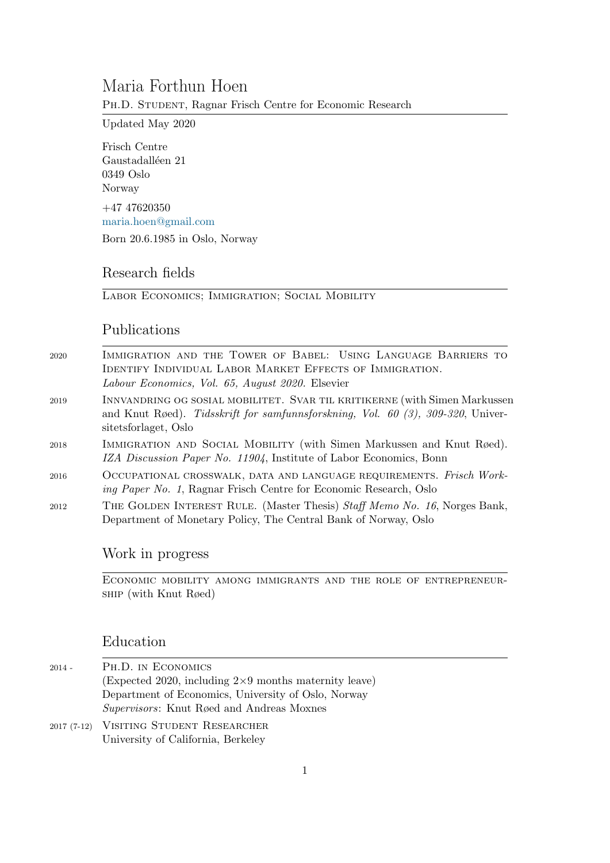# Maria Forthun Hoen

PH.D. STUDENT, Ragnar Frisch Centre for Economic Research

Updated May 2020

Frisch Centre Gaustadalléen 21 0349 Oslo Norway +47 47620350 [maria.hoen@gmail.com](mailto:maria.hoen@gmail.com)

Born 20.6.1985 in Oslo, Norway

## Research fields

Labor Economics; Immigration; Social Mobility

### Publications

| 2020 | IMMIGRATION AND THE TOWER OF BABEL: USING LANGUAGE BARRIERS TO<br>IDENTIFY INDIVIDUAL LABOR MARKET EFFECTS OF IMMIGRATION.<br>Labour Economics, Vol. 65, August 2020. Elsevier        |
|------|---------------------------------------------------------------------------------------------------------------------------------------------------------------------------------------|
| 2019 | INNVANDRING OG SOSIAL MOBILITET. SVAR TIL KRITIKERNE (with Simen Markussen<br>and Knut Røed). Tidsskrift for samfunnsforskning, Vol. 60 (3), 309-320, Univer-<br>sitetsforlaget, Oslo |
| 2018 | IMMIGRATION AND SOCIAL MOBILITY (with Simen Markussen and Knut Røed).<br>IZA Discussion Paper No. 11904, Institute of Labor Economics, Bonn                                           |
| 2016 | OCCUPATIONAL CROSSWALK, DATA AND LANGUAGE REQUIREMENTS. Frisch Work-<br><i>ing Paper No. 1</i> , Ragnar Frisch Centre for Economic Research, Oslo                                     |
| 2012 | THE GOLDEN INTEREST RULE. (Master Thesis) Staff Memo No. 16, Norges Bank,<br>Department of Monetary Policy, The Central Bank of Norway, Oslo                                          |

### Work in progress

Economic mobility among immigrants and the role of entrepreneurship (with Knut Røed)

#### Education

- 2014 Ph.D. in Economics (Expected 2020, including 2×9 months maternity leave) Department of Economics, University of Oslo, Norway Supervisors: Knut Røed and Andreas Moxnes
- 2017 (7-12) Visiting Student Researcher University of California, Berkeley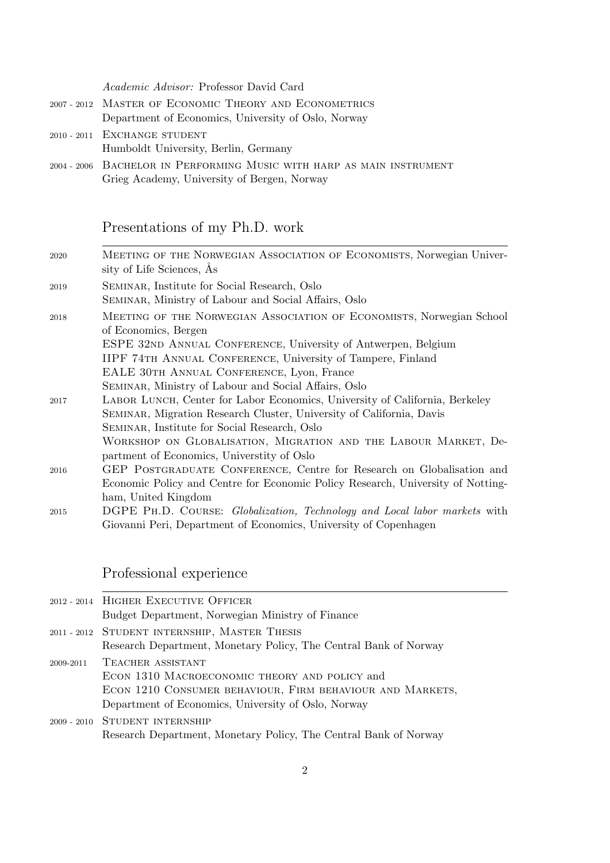| Academic Advisor: Professor David Card                                |
|-----------------------------------------------------------------------|
| 2007 - 2012 MASTER OF ECONOMIC THEORY AND ECONOMETRICS                |
| Department of Economics, University of Oslo, Norway                   |
| 2010 - 2011 EXCHANGE STUDENT                                          |
| Humboldt University, Berlin, Germany                                  |
| 2004 - 2006 BACHELOR IN PERFORMING MUSIC WITH HARP AS MAIN INSTRUMENT |
| Grieg Academy, University of Bergen, Norway                           |

# Presentations of my Ph.D. work

| 2020 | MEETING OF THE NORWEGIAN ASSOCIATION OF ECONOMISTS, Norwegian Univer-<br>sity of Life Sciences, As |
|------|----------------------------------------------------------------------------------------------------|
| 2019 | SEMINAR, Institute for Social Research, Oslo                                                       |
|      | SEMINAR, Ministry of Labour and Social Affairs, Oslo                                               |
| 2018 | MEETING OF THE NORWEGIAN ASSOCIATION OF ECONOMISTS, Norwegian School                               |
|      | of Economics, Bergen                                                                               |
|      | ESPE 32ND ANNUAL CONFERENCE, University of Antwerpen, Belgium                                      |
|      | IIPF 74TH ANNUAL CONFERENCE, University of Tampere, Finland                                        |
|      | EALE 30TH ANNUAL CONFERENCE, Lyon, France                                                          |
|      | SEMINAR, Ministry of Labour and Social Affairs, Oslo                                               |
| 2017 | LABOR LUNCH, Center for Labor Economics, University of California, Berkeley                        |
|      | SEMINAR, Migration Research Cluster, University of California, Davis                               |
|      | SEMINAR, Institute for Social Research, Oslo                                                       |
|      | WORKSHOP ON GLOBALISATION, MIGRATION AND THE LABOUR MARKET, De-                                    |
|      | partment of Economics, University of Oslo                                                          |
| 2016 | GEP POSTGRADUATE CONFERENCE, Centre for Research on Globalisation and                              |
|      | Economic Policy and Centre for Economic Policy Research, University of Notting-                    |
|      | ham, United Kingdom                                                                                |
| 2015 | DGPE PH.D. COURSE: <i>Globalization</i> , <i>Technology and Local labor markets</i> with           |
|      | Giovanni Peri, Department of Economics, University of Copenhagen                                   |

# Professional experience

| 2012 - 2014 HIGHER EXECUTIVE OFFICER                             |
|------------------------------------------------------------------|
| Budget Department, Norwegian Ministry of Finance                 |
| 2011 - 2012 STUDENT INTERNSHIP, MASTER THESIS                    |
| Research Department, Monetary Policy, The Central Bank of Norway |
| 2009-2011 TEACHER ASSISTANT                                      |
| ECON 1310 MACROECONOMIC THEORY AND POLICY and                    |
| ECON 1210 CONSUMER BEHAVIOUR, FIRM BEHAVIOUR AND MARKETS,        |
| Department of Economics, University of Oslo, Norway              |
| 2009 - 2010 STUDENT INTERNSHIP                                   |

Research Department, Monetary Policy, The Central Bank of Norway